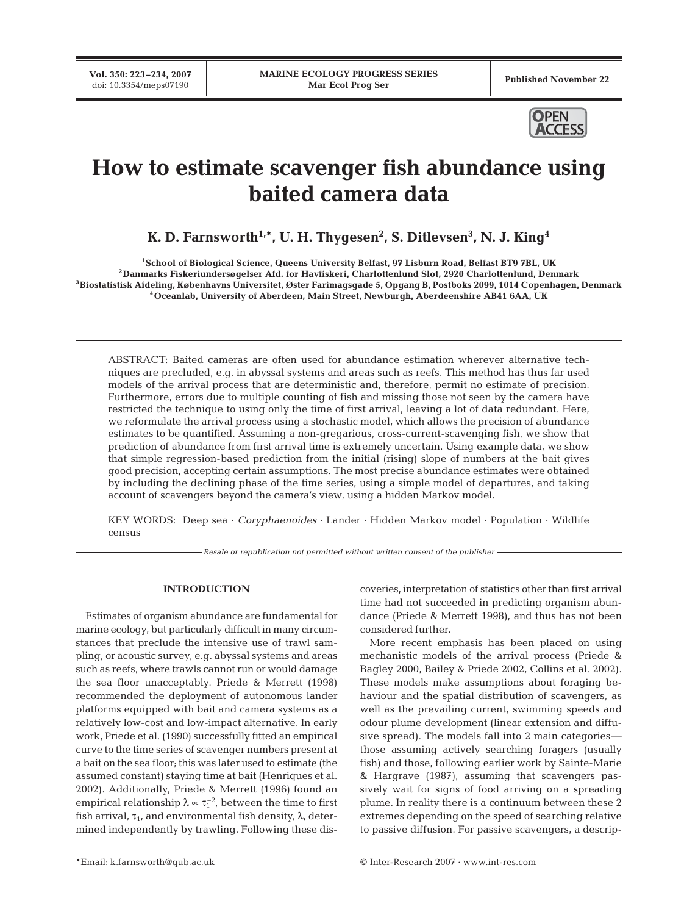**Vol. 350: 223–234, 2007**



# **How to estimate scavenger fish abundance using baited camera data**

 $\mathbf{K}.$  D. Farnsworth $^{1,\ast}$ , U. H. Thygesen $^2$ , S. Ditlevsen $^3$ , N. J. King $^4$ 

**1School of Biological Science, Queens University Belfast, 97 Lisburn Road, Belfast BT9 7BL, UK 2Danmarks Fiskeriundersøgelser Afd. for Havfiskeri, Charlottenlund Slot, 2920 Charlottenlund, Denmark 3Biostatistisk Afdeling, Københavns Universitet, Øster Farimagsgade 5, Opgang B, Postboks 2099, 1014 Copenhagen, Denmark 4Oceanlab, University of Aberdeen, Main Street, Newburgh, Aberdeenshire AB41 6AA, UK**

ABSTRACT: Baited cameras are often used for abundance estimation wherever alternative techniques are precluded, e.g. in abyssal systems and areas such as reefs. This method has thus far used models of the arrival process that are deterministic and, therefore, permit no estimate of precision. Furthermore, errors due to multiple counting of fish and missing those not seen by the camera have restricted the technique to using only the time of first arrival, leaving a lot of data redundant. Here, we reformulate the arrival process using a stochastic model, which allows the precision of abundance estimates to be quantified. Assuming a non-gregarious, cross-current-scavenging fish, we show that prediction of abundance from first arrival time is extremely uncertain. Using example data, we show that simple regression-based prediction from the initial (rising) slope of numbers at the bait gives good precision, accepting certain assumptions. The most precise abundance estimates were obtained by including the declining phase of the time series, using a simple model of departures, and taking account of scavengers beyond the camera's view, using a hidden Markov model.

KEY WORDS: Deep sea · *Coryphaenoides* · Lander · Hidden Markov model · Population · Wildlife census

*Resale or republication not permitted without written consent of the publisher*

## **INTRODUCTION**

Estimates of organism abundance are fundamental for marine ecology, but particularly difficult in many circumstances that preclude the intensive use of trawl sampling, or acoustic survey, e.g. abyssal systems and areas such as reefs, where trawls cannot run or would damage the sea floor unacceptably. Priede & Merrett (1998) recommended the deployment of autonomous lander platforms equipped with bait and camera systems as a relatively low-cost and low-impact alternative. In early work, Priede et al. (1990) successfully fitted an empirical curve to the time series of scavenger numbers present at a bait on the sea floor; this was later used to estimate (the assumed constant) staying time at bait (Henriques et al. 2002). Additionally, Priede & Merrett (1996) found an empirical relationship  $\lambda \propto \tau_1^{-2}$ , between the time to first fish arrival,  $\tau_1$ , and environmental fish density,  $\lambda$ , determined independently by trawling. Following these discoveries, interpretation of statistics other than first arrival time had not succeeded in predicting organism abundance (Priede & Merrett 1998), and thus has not been considered further.

More recent emphasis has been placed on using mechanistic models of the arrival process (Priede & Bagley 2000, Bailey & Priede 2002, Collins et al. 2002). These models make assumptions about foraging behaviour and the spatial distribution of scavengers, as well as the prevailing current, swimming speeds and odour plume development (linear extension and diffusive spread). The models fall into 2 main categories those assuming actively searching foragers (usually fish) and those, following earlier work by Sainte-Marie & Hargrave (1987), assuming that scavengers passively wait for signs of food arriving on a spreading plume. In reality there is a continuum between these 2 extremes depending on the speed of searching relative to passive diffusion. For passive scavengers, a descrip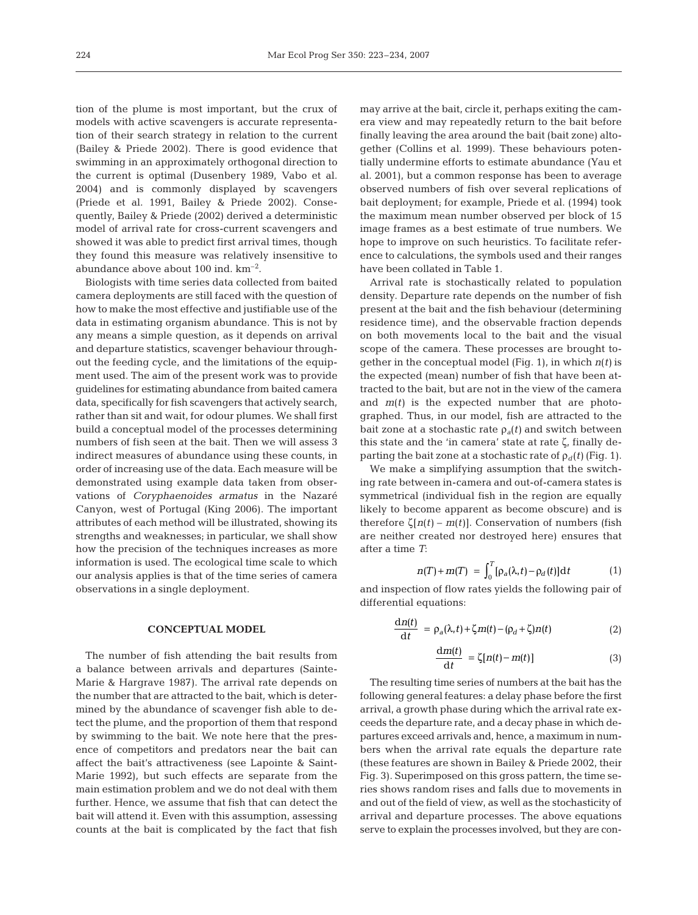tion of the plume is most important, but the crux of models with active scavengers is accurate representation of their search strategy in relation to the current (Bailey & Priede 2002). There is good evidence that swimming in an approximately orthogonal direction to the current is optimal (Dusenbery 1989, Vabo et al. 2004) and is commonly displayed by scavengers (Priede et al. 1991, Bailey & Priede 2002). Consequently, Bailey & Priede (2002) derived a deterministic model of arrival rate for cross-current scavengers and showed it was able to predict first arrival times, though they found this measure was relatively insensitive to abundance above about 100 ind.  $km^{-2}$ .

Biologists with time series data collected from baited camera deployments are still faced with the question of how to make the most effective and justifiable use of the data in estimating organism abundance. This is not by any means a simple question, as it depends on arrival and departure statistics, scavenger behaviour throughout the feeding cycle, and the limitations of the equipment used. The aim of the present work was to provide guidelines for estimating abundance from baited camera data, specifically for fish scavengers that actively search, rather than sit and wait, for odour plumes. We shall first build a conceptual model of the processes determining numbers of fish seen at the bait. Then we will assess 3 indirect measures of abundance using these counts, in order of increasing use of the data. Each measure will be demonstrated using example data taken from observations of *Coryphaenoides armatus* in the Nazaré Canyon, west of Portugal (King 2006). The important attributes of each method will be illustrated, showing its strengths and weaknesses; in particular, we shall show how the precision of the techniques increases as more information is used. The ecological time scale to which our analysis applies is that of the time series of camera observations in a single deployment.

# **CONCEPTUAL MODEL**

The number of fish attending the bait results from a balance between arrivals and departures (Sainte-Marie & Hargrave 1987). The arrival rate depends on the number that are attracted to the bait, which is determined by the abundance of scavenger fish able to detect the plume, and the proportion of them that respond by swimming to the bait. We note here that the presence of competitors and predators near the bait can affect the bait's attractiveness (see Lapointe & Saint-Marie 1992), but such effects are separate from the main estimation problem and we do not deal with them further. Hence, we assume that fish that can detect the bait will attend it. Even with this assumption, assessing counts at the bait is complicated by the fact that fish

may arrive at the bait, circle it, perhaps exiting the camera view and may repeatedly return to the bait before finally leaving the area around the bait (bait zone) altogether (Collins et al. 1999). These behaviours potentially undermine efforts to estimate abundance (Yau et al. 2001), but a common response has been to average observed numbers of fish over several replications of bait deployment; for example, Priede et al. (1994) took the maximum mean number observed per block of 15 image frames as a best estimate of true numbers. We hope to improve on such heuristics. To facilitate reference to calculations, the symbols used and their ranges have been collated in Table 1.

Arrival rate is stochastically related to population density. Departure rate depends on the number of fish present at the bait and the fish behaviour (determining residence time), and the observable fraction depends on both movements local to the bait and the visual scope of the camera. These processes are brought together in the conceptual model (Fig. 1), in which *n*(*t)* is the expected (mean) number of fish that have been attracted to the bait, but are not in the view of the camera and *m*(*t)* is the expected number that are photographed. Thus, in our model, fish are attracted to the bait zone at a stochastic rate  $\rho_a(t)$  and switch between this state and the 'in camera' state at rate ζ, finally departing the bait zone at a stochastic rate of  $\rho_d(t)$  (Fig. 1).

We make a simplifying assumption that the switching rate between in-camera and out-of-camera states is symmetrical (individual fish in the region are equally likely to become apparent as become obscure) and is therefore  $\zeta[n(t) - m(t)]$ . Conservation of numbers (fish are neither created nor destroyed here) ensures that after a time *T*:

$$
n(T) + m(T) = \int_0^T [\rho_a(\lambda, t) - \rho_d(t)] \mathrm{d}t \tag{1}
$$

and inspection of flow rates yields the following pair of differential equations:

$$
\frac{\mathrm{d}n(t)}{\mathrm{d}t} = \rho_a(\lambda, t) + \zeta m(t) - (\rho_d + \zeta)n(t) \tag{2}
$$

$$
\frac{\mathrm{d}m(t)}{\mathrm{d}t} = \zeta[n(t) - m(t)]\tag{3}
$$

The resulting time series of numbers at the bait has the following general features: a delay phase before the first arrival, a growth phase during which the arrival rate exceeds the departure rate, and a decay phase in which departures exceed arrivals and, hence, a maximum in numbers when the arrival rate equals the departure rate (these features are shown in Bailey & Priede 2002, their Fig. 3). Superimposed on this gross pattern, the time series shows random rises and falls due to movements in and out of the field of view, as well as the stochasticity of arrival and departure processes. The above equations serve to explain the processes involved, but they are con-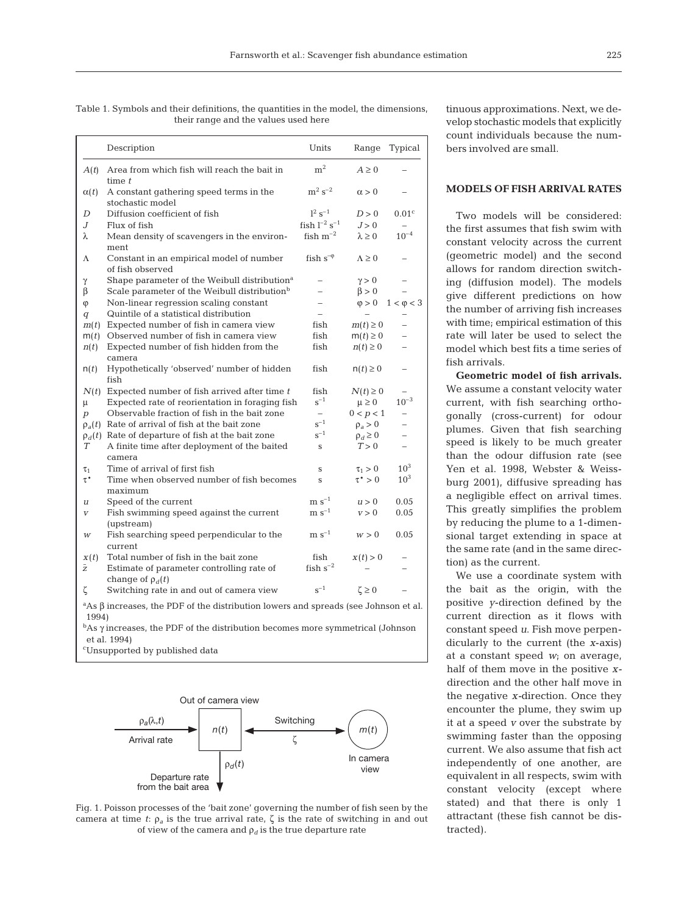225

Table 1. Symbols and their definitions, the quantities in the model, the dimensions, their range and the values used here

|                                                                                                | Description                                                        | Units                          | Range            | Typical           |  |  |  |  |
|------------------------------------------------------------------------------------------------|--------------------------------------------------------------------|--------------------------------|------------------|-------------------|--|--|--|--|
| A(t)                                                                                           | Area from which fish will reach the bait in<br>time $t$            | m <sup>2</sup>                 | $A \geq 0$       |                   |  |  |  |  |
| $\alpha(t)$                                                                                    | A constant gathering speed terms in the<br>stochastic model        | $m^2 s^{-2}$                   | $\alpha > 0$     |                   |  |  |  |  |
| D                                                                                              | Diffusion coefficient of fish                                      | $1^2 s^{-1}$                   | D>0              | 0.01 <sup>c</sup> |  |  |  |  |
| J                                                                                              | Flux of fish                                                       | fish $\rm l^{-2}$ $\rm s^{-1}$ | J > 0            |                   |  |  |  |  |
| λ                                                                                              | Mean density of scavengers in the environ-<br>ment                 | fish $m^{-2}$                  | $\lambda \geq 0$ | $10^{-4}$         |  |  |  |  |
| Λ                                                                                              | Constant in an empirical model of number<br>of fish observed       | fish $s^{-\varphi}$            | $\Lambda \geq 0$ |                   |  |  |  |  |
| γ                                                                                              | Shape parameter of the Weibull distribution <sup>a</sup>           | $\overline{\phantom{0}}$       | $\gamma > 0$     |                   |  |  |  |  |
| β                                                                                              | Scale parameter of the Weibull distribution <sup>b</sup>           | L.                             | $\beta > 0$      |                   |  |  |  |  |
| φ                                                                                              | Non-linear regression scaling constant                             | $\overline{\phantom{0}}$       | $\varphi > 0$    | $1 < \varphi < 3$ |  |  |  |  |
| $\boldsymbol{q}$                                                                               | Quintile of a statistical distribution                             |                                |                  |                   |  |  |  |  |
|                                                                                                | $m(t)$ Expected number of fish in camera view                      | fish                           | $m(t) \geq 0$    |                   |  |  |  |  |
|                                                                                                | $m(t)$ Observed number of fish in camera view                      | fish                           | $m(t) \geq 0$    |                   |  |  |  |  |
| n(t)                                                                                           | Expected number of fish hidden from the<br>camera                  | fish                           | $n(t) \geq 0$    |                   |  |  |  |  |
| n(t)                                                                                           | Hypothetically 'observed' number of hidden<br>fish                 | fish                           | $n(t) \geq 0$    |                   |  |  |  |  |
|                                                                                                | $N(t)$ Expected number of fish arrived after time t                | fish                           | $N(t) \geq 0$    |                   |  |  |  |  |
| μ                                                                                              | Expected rate of reorientation in foraging fish                    | $s^{-1}$                       | $\mu \geq 0$     | $10^{-3}$         |  |  |  |  |
| $\boldsymbol{p}$                                                                               | Observable fraction of fish in the bait zone                       | $\overline{\phantom{0}}$       | 0 < p < 1        |                   |  |  |  |  |
| $\rho_a(t)$                                                                                    | Rate of arrival of fish at the bait zone                           | $s^{-1}$                       | $\rho_a > 0$     |                   |  |  |  |  |
| $\rho_d(t)$                                                                                    | Rate of departure of fish at the bait zone                         | $s^{-1}$                       | $\rho_d \geq 0$  |                   |  |  |  |  |
| Т                                                                                              | A finite time after deployment of the baited<br>camera             | S                              | T > 0            |                   |  |  |  |  |
| $\tau_1$                                                                                       | Time of arrival of first fish                                      | S                              | $\tau_1 > 0$     | $10^{3}$          |  |  |  |  |
| $\tau^*$                                                                                       | Time when observed number of fish becomes<br>maximum               | S                              | $\tau^* > 0$     | 10 <sup>3</sup>   |  |  |  |  |
| u                                                                                              | Speed of the current                                               | $\rm m~s^{-1}$                 | u > 0            | 0.05              |  |  |  |  |
| V                                                                                              | Fish swimming speed against the current<br>(upstream)              | $\rm m~s^{-1}$                 | v > 0            | 0.05              |  |  |  |  |
| W                                                                                              | Fish searching speed perpendicular to the<br>current               | $\rm m~s^{-1}$                 | w > 0            | 0.05              |  |  |  |  |
| x(t)                                                                                           | Total number of fish in the bait zone                              | fish                           | x(t) > 0         |                   |  |  |  |  |
| $\tilde{z}$                                                                                    | Estimate of parameter controlling rate of<br>change of $\rho_d(t)$ | fish $s^{-2}$                  |                  | $=$               |  |  |  |  |
| ζ                                                                                              | Switching rate in and out of camera view                           | $s^{-1}$                       | $\zeta \geq 0$   |                   |  |  |  |  |
| $a^A$ As $\beta$ increases, the PDF of the distribution lowers and spreads (see Johnson et al. |                                                                    |                                |                  |                   |  |  |  |  |
| 1994)                                                                                          |                                                                    |                                |                  |                   |  |  |  |  |

 $b$ As  $\gamma$  increases, the PDF of the distribution becomes more symmetrical (Johnson et al. 1994)

c Unsupported by published data



Fig. 1. Poisson processes of the 'bait zone' governing the number of fish seen by the camera at time *t*:  $ρ<sub>a</sub>$  is the true arrival rate, ζ is the rate of switching in and out of view of the camera and  $\rho_d$  is the true departure rate

tinuous approximations. Next, we develop stochastic models that explicitly count individuals because the numbers involved are small.

## **MODELS OF FISH ARRIVAL RATES**

Two models will be considered: the first assumes that fish swim with constant velocity across the current (geometric model) and the second allows for random direction switching (diffusion model). The models give different predictions on how the number of arriving fish increases with time; empirical estimation of this rate will later be used to select the model which best fits a time series of fish arrivals.

**Geometric model of fish arrivals.** We assume a constant velocity water current, with fish searching orthogonally (cross-current) for odour plumes. Given that fish searching speed is likely to be much greater than the odour diffusion rate (see Yen et al. 1998, Webster & Weissburg 2001), diffusive spreading has a negligible effect on arrival times. This greatly simplifies the problem by reducing the plume to a 1-dimensional target extending in space at the same rate (and in the same direction) as the current.

We use a coordinate system with the bait as the origin, with the positive *y*-direction defined by the current direction as it flows with constant speed *u*. Fish move perpendicularly to the current (the *x*-axis) at a constant speed *w*; on average, half of them move in the positive *x*direction and the other half move in the negative *x-*direction. Once they encounter the plume, they swim up it at a speed *v* over the substrate by swimming faster than the opposing current. We also assume that fish act independently of one another, are equivalent in all respects, swim with constant velocity (except where stated) and that there is only 1 attractant (these fish cannot be distracted).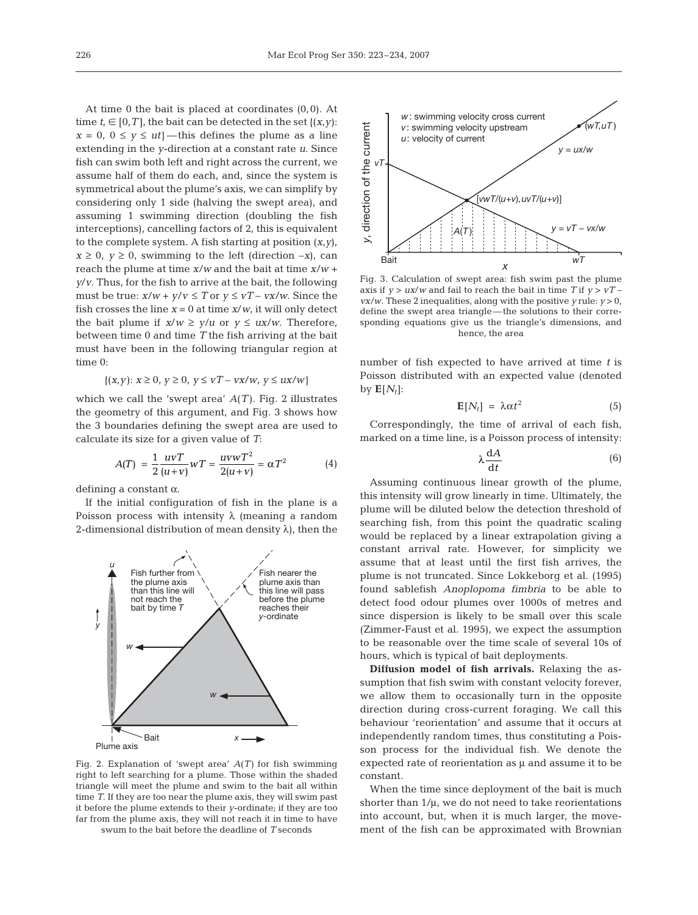At time 0 the bait is placed at coordinates (0,0). At time  $t_i \in [0, T]$ , the bait can be detected in the set  $\{(x, y):$  $x = 0$ ,  $0 \le y \le ut$  —this defines the plume as a line extending in the *y*-direction at a constant rate *u*. Since fish can swim both left and right across the current, we assume half of them do each, and, since the system is symmetrical about the plume's axis, we can simplify by considering only 1 side (halving the swept area), and assuming 1 swimming direction (doubling the fish interceptions), cancelling factors of 2, this is equivalent to the complete system. A fish starting at position (*x*,*y*),  $x \geq 0$ ,  $y \geq 0$ , swimming to the left (direction  $-x$ ), can reach the plume at time *x*/*w* and the bait at time *x*/*w* + *y*/*v*. Thus, for the fish to arrive at the bait, the following must be true:  $x/w + y/v \leq T$  or  $y \leq vT - vx/w$ . Since the fish crosses the line  $x = 0$  at time  $x/w$ , it will only detect the bait plume if  $x/w \ge y/u$  or  $y \le ux/w$ . Therefore, between time 0 and time *T* the fish arriving at the bait must have been in the following triangular region at time 0:

$$
\{(x, y): x \ge 0, y \ge 0, y \le vT - vx/w, y \le ux/w\}
$$

which we call the 'swept area' *A*(*T*). Fig. 2 illustrates the geometry of this argument, and Fig. 3 shows how the 3 boundaries defining the swept area are used to calculate its size for a given value of *T*:

$$
A(T) = \frac{1}{2} \frac{uvT}{(u+v)} wT = \frac{uvwT^2}{2(u+v)} = \alpha T^2
$$
 (4)

defining a constant α.

If the initial configuration of fish in the plane is a Poisson process with intensity  $\lambda$  (meaning a random 2-dimensional distribution of mean density  $\lambda$ ), then the



Fig. 2. Explanation of 'swept area' *A*(*T)* for fish swimming right to left searching for a plume. Those within the shaded triangle will meet the plume and swim to the bait all within time *T*. If they are too near the plume axis, they will swim past it before the plume extends to their *y*-ordinate; if they are too far from the plume axis, they will not reach it in time to have swum to the bait before the deadline of *T* seconds



Fig. 3. Calculation of swept area: fish swim past the plume axis if  $y > ux/w$  and fail to reach the bait in time  $T$  if  $y > vT$  – *vx/w*. These 2 inequalities, along with the positive *y* rule:  $y > 0$ , define the swept area triangle—the solutions to their corresponding equations give us the triangle's dimensions, and hence, the area

number of fish expected to have arrived at time *t* is Poisson distributed with an expected value (denoted by  $E[N_t]$ :

$$
\mathbf{E}[N_t] = \lambda \alpha t^2 \tag{5}
$$

Correspondingly, the time of arrival of each fish, marked on a time line, is a Poisson process of intensity:

$$
\lambda \frac{\mathrm{d}A}{\mathrm{d}t} \tag{6}
$$

Assuming continuous linear growth of the plume, this intensity will grow linearly in time. Ultimately, the plume will be diluted below the detection threshold of searching fish, from this point the quadratic scaling would be replaced by a linear extrapolation giving a constant arrival rate. However, for simplicity we assume that at least until the first fish arrives, the plume is not truncated. Since Lokkeborg et al. (1995) found sablefish *Anoplopoma fimbria* to be able to detect food odour plumes over 1000s of metres and since dispersion is likely to be small over this scale (Zimmer-Faust et al. 1995), we expect the assumption to be reasonable over the time scale of several 10s of hours, which is typical of bait deployments.

**Diffusion model of fish arrivals.** Relaxing the assumption that fish swim with constant velocity forever, we allow them to occasionally turn in the opposite direction during cross-current foraging. We call this behaviour 'reorientation' and assume that it occurs at independently random times, thus constituting a Poisson process for the individual fish. We denote the expected rate of reorientation as μ and assume it to be constant.

When the time since deployment of the bait is much shorter than  $1/\mu$ , we do not need to take reorientations into account, but, when it is much larger, the movement of the fish can be approximated with Brownian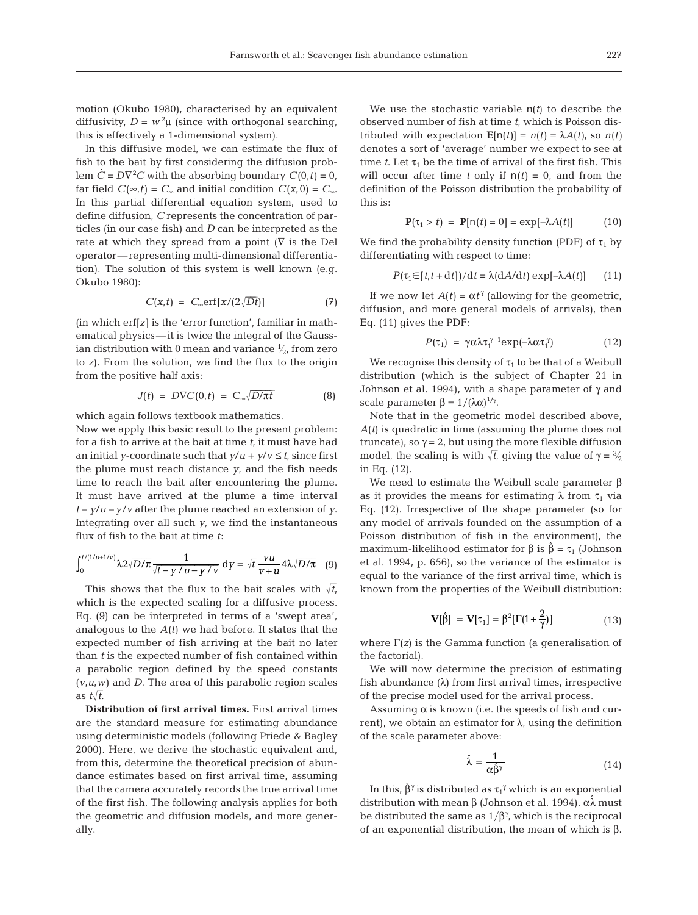motion (Okubo 1980), characterised by an equivalent diffusivity,  $D = w^2 \mu$  (since with orthogonal searching, this is effectively a 1-dimensional system).

In this diffusive model, we can estimate the flux of fish to the bait by first considering the diffusion problem  $\dot{C} = D\nabla^2 C$  with the absorbing boundary  $C(0,t) = 0$ , far field  $C(\infty, t) = C_\infty$  and initial condition  $C(x, 0) = C_\infty$ . In this partial differential equation system, used to define diffusion, *C* represents the concentration of particles (in our case fish) and *D* can be interpreted as the rate at which they spread from a point  $(\nabla)$  is the Del operator—representing multi-dimensional differentiation). The solution of this system is well known (e.g. Okubo 1980):

$$
C(x,t) = C_{\infty} \text{erf}[x/(2\sqrt{Dt})]
$$
 (7)

(in which erf[*z*] is the 'error function', familiar in mathematical physics—it is twice the integral of the Gaussian distribution with 0 mean and variance  $\frac{1}{2}$ , from zero to *z*). From the solution, we find the flux to the origin from the positive half axis:

$$
J(t) = D\nabla C(0,t) = C_{\infty} \sqrt{D/\pi t}
$$
 (8)

which again follows textbook mathematics.

Now we apply this basic result to the present problem: for a fish to arrive at the bait at time *t*, it must have had an initial *y*-coordinate such that  $y/u + y/v \leq t$ , since first the plume must reach distance *y*, and the fish needs time to reach the bait after encountering the plume. It must have arrived at the plume a time interval  $t - y/u - y/v$  after the plume reached an extension of *y*. Integrating over all such *y*, we find the instantaneous flux of fish to the bait at time *t*:

$$
\int_0^{t/(1/u+1/v)} \lambda 2\sqrt{D/\pi} \frac{1}{\sqrt{t-y/u-y/v}} \, \mathrm{d}y = \sqrt{t} \frac{vu}{v+u} 4\lambda \sqrt{D/\pi} \quad (9)
$$

This shows that the flux to the bait scales with  $\sqrt{t}$ , which is the expected scaling for a diffusive process. Eq. (9) can be interpreted in terms of a 'swept area', analogous to the *A*(*t*) we had before. It states that the expected number of fish arriving at the bait no later than *t* is the expected number of fish contained within a parabolic region defined by the speed constants (*v*,*u*,*w*) and *D*. The area of this parabolic region scales as  $t\sqrt{t}$ .

**Distribution of first arrival times.** First arrival times are the standard measure for estimating abundance using deterministic models (following Priede & Bagley 2000). Here, we derive the stochastic equivalent and, from this, determine the theoretical precision of abundance estimates based on first arrival time, assuming that the camera accurately records the true arrival time of the first fish. The following analysis applies for both the geometric and diffusion models, and more generally.

We use the stochastic variable n(*t*) to describe the observed number of fish at time *t*, which is Poisson distributed with expectation  $\mathbf{E}[\mathbf{n}(t)] = n(t) = \lambda A(t)$ , so  $n(t)$ denotes a sort of 'average' number we expect to see at time *t*. Let  $\tau_1$  be the time of arrival of the first fish. This will occur after time *t* only if  $n(t) = 0$ , and from the definition of the Poisson distribution the probability of this is:

$$
\mathbf{P}(\tau_1 > t) = \mathbf{P}[\mathbf{n}(t) = 0] = \exp[-\lambda A(t)] \tag{10}
$$

We find the probability density function (PDF) of  $\tau_1$  by differentiating with respect to time:

$$
P(\tau_1 \in [t, t + dt]) / dt = \lambda (dA/dt) \exp[-\lambda A(t)] \qquad (11)
$$

If we now let  $A(t) = \alpha t^{\gamma}$  (allowing for the geometric, diffusion, and more general models of arrivals), then Eq. (11) gives the PDF:

$$
P(\tau_1) = \gamma \alpha \lambda \tau_1^{\gamma - 1} \exp(-\lambda \alpha \tau_1^{\gamma}) \qquad (12)
$$

We recognise this density of  $\tau_1$  to be that of a Weibull distribution (which is the subject of Chapter 21 in Johnson et al. 1994), with a shape parameter of  $\gamma$  and scale parameter  $\beta = 1/(\lambda \alpha)^{1/\gamma}$ .

Note that in the geometric model described above, *A*(*t*) is quadratic in time (assuming the plume does not truncate), so  $\gamma = 2$ , but using the more flexible diffusion model, the scaling is with  $\sqrt{t}$ , giving the value of  $\gamma = \frac{3}{2}$ in Eq. (12).

We need to estimate the Weibull scale parameter β as it provides the means for estimating  $\lambda$  from  $\tau_1$  via Eq. (12). Irrespective of the shape parameter (so for any model of arrivals founded on the assumption of a Poisson distribution of fish in the environment), the maximum-likelihood estimator for β is  $\hat{\beta} = \tau_1$  (Johnson et al. 1994, p. 656), so the variance of the estimator is equal to the variance of the first arrival time, which is known from the properties of the Weibull distribution:

$$
\mathbf{V}[\hat{\beta}] = \mathbf{V}[\tau_1] = \beta^2 [\Gamma(1 + \frac{2}{\gamma})]
$$
(13)

where Γ(*z*) is the Gamma function (a generalisation of the factorial).

We will now determine the precision of estimating fish abundance (λ) from first arrival times, irrespective of the precise model used for the arrival process.

Assuming  $\alpha$  is known (i.e. the speeds of fish and current), we obtain an estimator for  $\lambda$ , using the definition of the scale parameter above:

$$
\hat{\lambda} = \frac{1}{\alpha \hat{\beta}^{\gamma}}
$$
 (14)

In this,  $\hat{\beta}^{\gamma}$  is distributed as  $τ_1^{\gamma}$  which is an exponential distribution with mean β (Johnson et al. 1994).  $\alpha\hat{\lambda}$  must be distributed the same as  $1/\beta^{\gamma}$ , which is the reciprocal of an exponential distribution, the mean of which is β.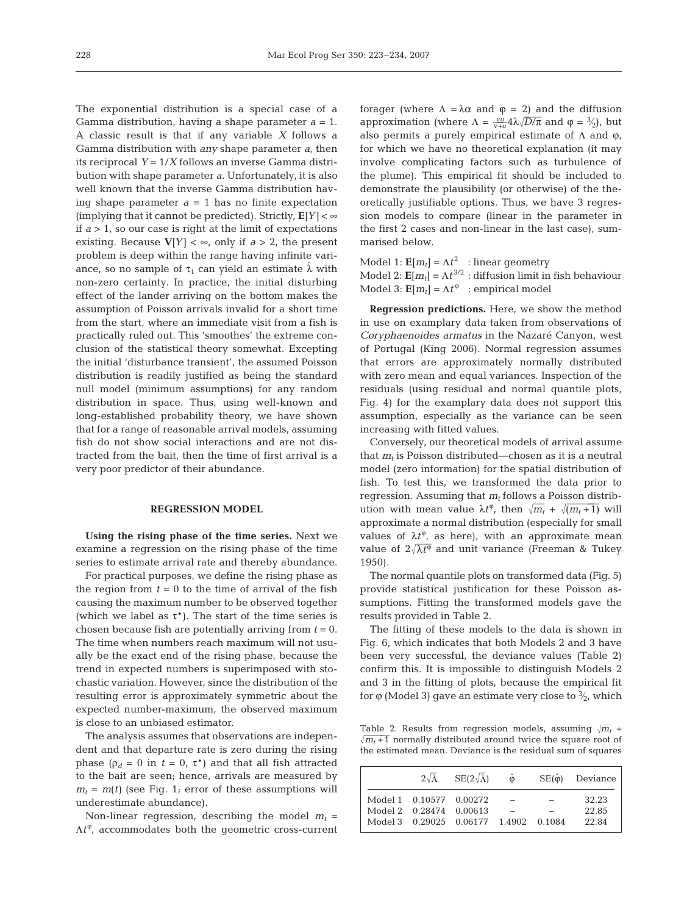The exponential distribution is a special case of a Gamma distribution, having a shape parameter *a* = 1. A classic result is that if any variable *X* follows a Gamma distribution with *any* shape parameter *a*, then its reciprocal *Y* = 1/*X* follows an inverse Gamma distribution with shape parameter *a*. Unfortunately, it is also well known that the inverse Gamma distribution having shape parameter  $a = 1$  has no finite expectation (implying that it cannot be predicted). Strictly,  $E[Y] < \infty$ if  $a > 1$ , so our case is right at the limit of expectations existing. Because  $V[Y] < \infty$ , only if  $a > 2$ , the present problem is deep within the range having infinite variance, so no sample of  $\tau_1$  can yield an estimate  $\hat{\lambda}$  with non-zero certainty. In practice, the initial disturbing effect of the lander arriving on the bottom makes the assumption of Poisson arrivals invalid for a short time from the start, where an immediate visit from a fish is practically ruled out. This 'smoothes' the extreme conclusion of the statistical theory somewhat. Excepting the initial 'disturbance transient', the assumed Poisson distribution is readily justified as being the standard null model (minimum assumptions) for any random distribution in space. Thus, using well-known and long-established probability theory, we have shown that for a range of reasonable arrival models, assuming fish do not show social interactions and are not distracted from the bait, then the time of first arrival is a very poor predictor of their abundance.

#### **REGRESSION MODEL**

**Using the rising phase of the time series.** Next we examine a regression on the rising phase of the time series to estimate arrival rate and thereby abundance.

For practical purposes, we define the rising phase as the region from  $t = 0$  to the time of arrival of the fish causing the maximum number to be observed together (which we label as  $\tau^*$ ). The start of the time series is chosen because fish are potentially arriving from *t* = 0. The time when numbers reach maximum will not usually be the exact end of the rising phase, because the trend in expected numbers is superimposed with stochastic variation. However, since the distribution of the resulting error is approximately symmetric about the expected number-maximum, the observed maximum is close to an unbiased estimator.

The analysis assumes that observations are independent and that departure rate is zero during the rising phase ( $\rho_d = 0$  in  $t = 0$ ,  $\tau^*$ ) and that all fish attracted to the bait are seen; hence, arrivals are measured by  $m_t = m(t)$  (see Fig. 1; error of these assumptions will underestimate abundance).

Non-linear regression, describing the model  $m_t$  =  $\Lambda t^{\varphi}$ , accommodates both the geometric cross-current forager (where  $Λ = λα$  and  $φ = 2$ ) and the diffusion approximation (where  $\Lambda = \frac{vu}{v+u} 4\lambda \sqrt{D/\pi}$  and  $\varphi = \frac{3}{2}$ ), but also permits a purely empirical estimate of  $\Lambda$  and  $\varphi$ , for which we have no theoretical explanation (it may involve complicating factors such as turbulence of the plume). This empirical fit should be included to demonstrate the plausibility (or otherwise) of the theoretically justifiable options. Thus, we have 3 regression models to compare (linear in the parameter in the first 2 cases and non-linear in the last case), summarised below.

Model 1:  $\mathbf{E}[m_t] = \Lambda t^2$  : linear geometry

Model 2:  $\mathbf{E}[m_t] = \Lambda t^{3/2}$ : diffusion limit in fish behaviour Model 3:  $\mathbf{E}[m_t] = \Lambda t^{\varphi}$  : empirical model

**Regression predictions.** Here, we show the method in use on examplary data taken from observations of *Coryphaenoides armatus* in the Nazaré Canyon, west of Portugal (King 2006). Normal regression assumes that errors are approximately normally distributed with zero mean and equal variances. Inspection of the residuals (using residual and normal quantile plots, Fig. 4) for the examplary data does not support this assumption, especially as the variance can be seen increasing with fitted values.

Conversely, our theoretical models of arrival assume that  $m_t$  is Poisson distributed—chosen as it is a neutral model (zero information) for the spatial distribution of fish. To test this, we transformed the data prior to regression. Assuming that  $m_t$  follows a Poisson distribution with mean value  $\lambda t^{\varphi}$ , then  $\sqrt{m_t + 1} \sqrt{m_t + 1}$  will approximate a normal distribution (especially for small values of  $\lambda t^{\varphi}$ , as here), with an approximate mean value of  $2\sqrt{\lambda t^{\varphi}}$  and unit variance (Freeman & Tukey 1950).

The normal quantile plots on transformed data (Fig. 5) provide statistical justification for these Poisson assumptions. Fitting the transformed models gave the results provided in Table 2.

The fitting of these models to the data is shown in Fig. 6, which indicates that both Models 2 and 3 have been very successful, the deviance values (Table 2) confirm this. It is impossible to distinguish Models 2 and 3 in the fitting of plots, because the empirical fit for φ (Model 3) gave an estimate very close to  $\frac{3}{2}$ , which

Table 2. Results from regression models, assuming  $\sqrt{m_t}$  +  $\sqrt{m_t+1}$  normally distributed around twice the square root of the estimated mean. Deviance is the residual sum of squares

|                                       |                         | $2\sqrt{\lambda}$ SE( $2\sqrt{\lambda}$ ) $\hat{\varphi}$ |  | $SE(\hat{\phi})$ Deviance |
|---------------------------------------|-------------------------|-----------------------------------------------------------|--|---------------------------|
|                                       | Model 1 0.10577 0.00272 |                                                           |  | 32.23                     |
| Model 2 0.28474 0.00613               |                         |                                                           |  | 22.85                     |
| Model 3 0.29025 0.06177 1.4902 0.1084 |                         |                                                           |  | 22.84                     |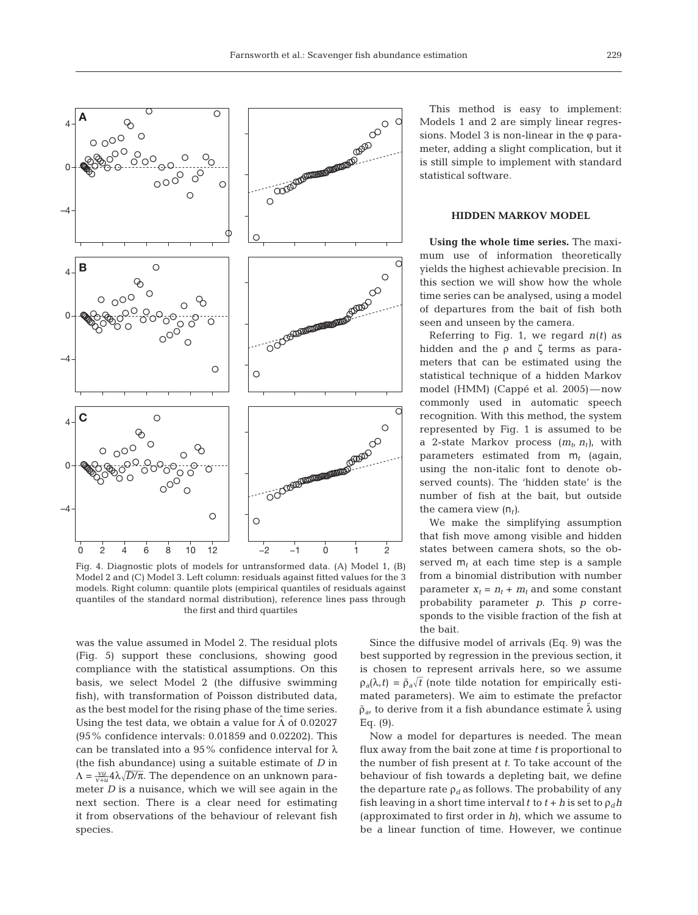

Fig. 4. Diagnostic plots of models for untransformed data. (A) Model 1, (B) Model 2 and (C) Model 3. Left column: residuals against fitted values for the 3 models. Right column: quantile plots (empirical quantiles of residuals against quantiles of the standard normal distribution), reference lines pass through the first and third quartiles

was the value assumed in Model 2. The residual plots (Fig. 5) support these conclusions, showing good compliance with the statistical assumptions. On this basis, we select Model 2 (the diffusive swimming fish), with transformation of Poisson distributed data, as the best model for the rising phase of the time series. Using the test data, we obtain a value for  $\Lambda$  of 0.02027 (95% confidence intervals: 0.01859 and 0.02202). This can be translated into a 95% confidence interval for  $\lambda$ (the fish abundance) using a suitable estimate of *D* in  $\Lambda = \frac{vu}{v+u} 4\lambda \sqrt{D/\pi}$ . The dependence on an unknown parameter *D* is a nuisance, which we will see again in the next section. There is a clear need for estimating it from observations of the behaviour of relevant fish species.

This method is easy to implement: Models 1 and 2 are simply linear regressions. Model 3 is non-linear in the φ parameter, adding a slight complication, but it is still simple to implement with standard statistical software.

### **HIDDEN MARKOV MODEL**

**Using the whole time series.** The maximum use of information theoretically yields the highest achievable precision. In this section we will show how the whole time series can be analysed, using a model of departures from the bait of fish both seen and unseen by the camera.

Referring to Fig. 1, we regard *n*(*t)* as hidden and the  $\rho$  and  $\zeta$  terms as parameters that can be estimated using the statistical technique of a hidden Markov model (HMM) (Cappé et al. 2005)—now commonly used in automatic speech recognition. With this method, the system represented by Fig. 1 is assumed to be a 2-state Markov process  $(m_t, n_t)$ , with parameters estimated from m*<sup>t</sup>* (again, using the non-italic font to denote observed counts). The 'hidden state' is the number of fish at the bait, but outside the camera view  $(n_t)$ .

We make the simplifying assumption that fish move among visible and hidden states between camera shots, so the observed  $m_t$  at each time step is a sample from a binomial distribution with number parameter  $x_t = n_t + m_t$  and some constant probability parameter *p*. This *p* corresponds to the visible fraction of the fish at the bait.

Since the diffusive model of arrivals (Eq. 9) was the best supported by regression in the previous section, it is chosen to represent arrivals here, so we assume  $\rho_a(\lambda, t) = \tilde{\rho}_a \sqrt{t}$  (note tilde notation for empirically estimated parameters). We aim to estimate the prefactor  $\tilde{\rho}_{a}$ , to derive from it a fish abundance estimate  $\tilde{\lambda}$  using Eq. (9).

Now a model for departures is needed. The mean flux away from the bait zone at time *t* is proportional to the number of fish present at *t*. To take account of the behaviour of fish towards a depleting bait, we define the departure rate  $\rho_d$  as follows. The probability of any fish leaving in a short time interval t to  $t + h$  is set to  $\rho_d h$ (approximated to first order in *h*), which we assume to be a linear function of time. However, we continue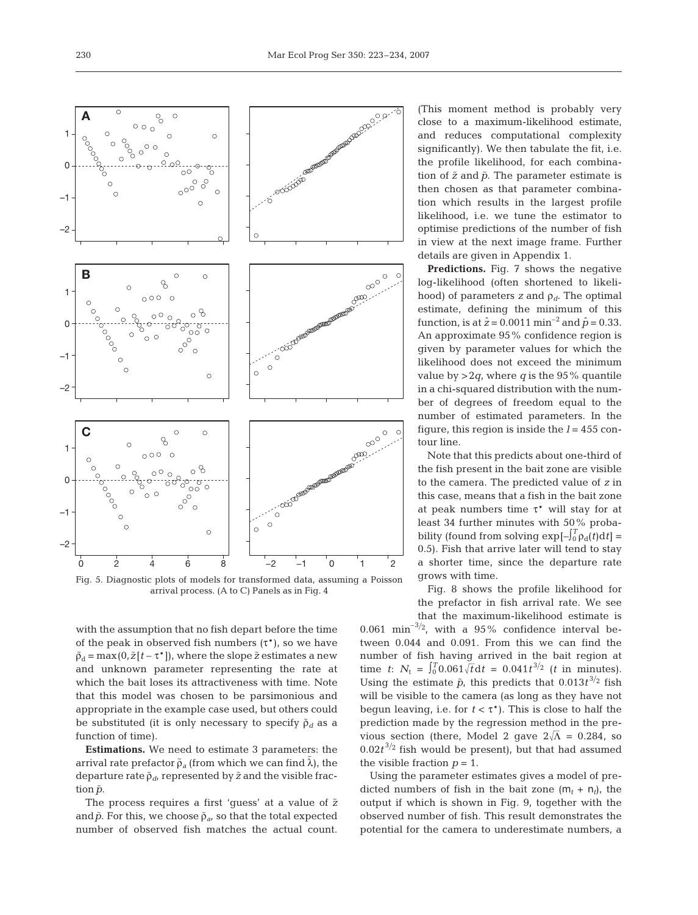

Fig. 5. Diagnostic plots of models for transformed data, assuming a Poisson arrival process. (A to C) Panels as in Fig. 4

with the assumption that no fish depart before the time of the peak in observed fish numbers  $(\tau^*)$ , so we have  $\tilde{\rho}_d = \max(0, \tilde{z}[t-\tau^*])$ , where the slope  $\tilde{z}$  estimates a new and unknown parameter representing the rate at which the bait loses its attractiveness with time. Note that this model was chosen to be parsimonious and appropriate in the example case used, but others could be substituted (it is only necessary to specify  $\tilde{\rho}_d$  as a function of time).

**Estimations.** We need to estimate 3 parameters: the arrival rate prefactor  $\tilde{p}_a$  (from which we can find  $\tilde{\lambda}$ ), the departure rate  $\tilde{p}_{d}$ , represented by  $\tilde{z}$  and the visible frac- $\sin \tilde{p}$ .

The process requires a first 'guess' at a value of  $\tilde{z}$ and  $\tilde{p}$ . For this, we choose  $\tilde{p}_{a}$ , so that the total expected number of observed fish matches the actual count.

(This moment method is probably very close to a maximum-likelihood estimate, and reduces computational complexity significantly). We then tabulate the fit, i.e. the profile likelihood, for each combination of  $\tilde{z}$  and  $\tilde{p}$ . The parameter estimate is then chosen as that parameter combination which results in the largest profile likelihood, i.e. we tune the estimator to optimise predictions of the number of fish in view at the next image frame. Further details are given in Appendix 1.

**Predictions.** Fig. 7 shows the negative log-likelihood (often shortened to likelihood) of parameters *z* and  $\rho_d$ . The optimal estimate, defining the minimum of this function, is at  $\hat{z} = 0.0011 \text{ min}^{-2}$  and  $\hat{p} = 0.33$ . An approximate 95% confidence region is given by parameter values for which the likelihood does not exceed the minimum value by  $>2q$ , where *q* is the 95% quantile in a chi-squared distribution with the number of degrees of freedom equal to the number of estimated parameters. In the figure, this region is inside the *l* = 455 contour line.

Note that this predicts about one-third of the fish present in the bait zone are visible to the camera. The predicted value of *z* in this case, means that a fish in the bait zone at peak numbers time τ\* will stay for at least 34 further minutes with 50% probability (found from solving  $\exp[-\int_0^T \rho_d(t) dt]$  = 0.5). Fish that arrive later will tend to stay a shorter time, since the departure rate grows with time.

Fig. 8 shows the profile likelihood for the prefactor in fish arrival rate. We see that the maximum-likelihood estimate is

0.061 min<sup>-3/2</sup>, with a 95% confidence interval between 0.044 and 0.091. From this we can find the number of fish having arrived in the bait region at time *t*:  $N_t = \int_0^T 0.061 \sqrt{t} dt = 0.041t^{3/2}$  (*t* in minutes). Using the estimate  $\tilde{p}$ , this predicts that  $0.013t^{3/2}$  fish will be visible to the camera (as long as they have not begun leaving, i.e. for  $t < \tau^*$ ). This is close to half the prediction made by the regression method in the previous section (there, Model 2 gave  $2\sqrt{\Lambda} = 0.284$ , so  $0.02t^{3/2}$  fish would be present), but that had assumed the visible fraction  $p = 1$ .

Using the parameter estimates gives a model of predicted numbers of fish in the bait zone  $(m_t + n_t)$ , the output if which is shown in Fig. 9, together with the observed number of fish. This result demonstrates the potential for the camera to underestimate numbers, a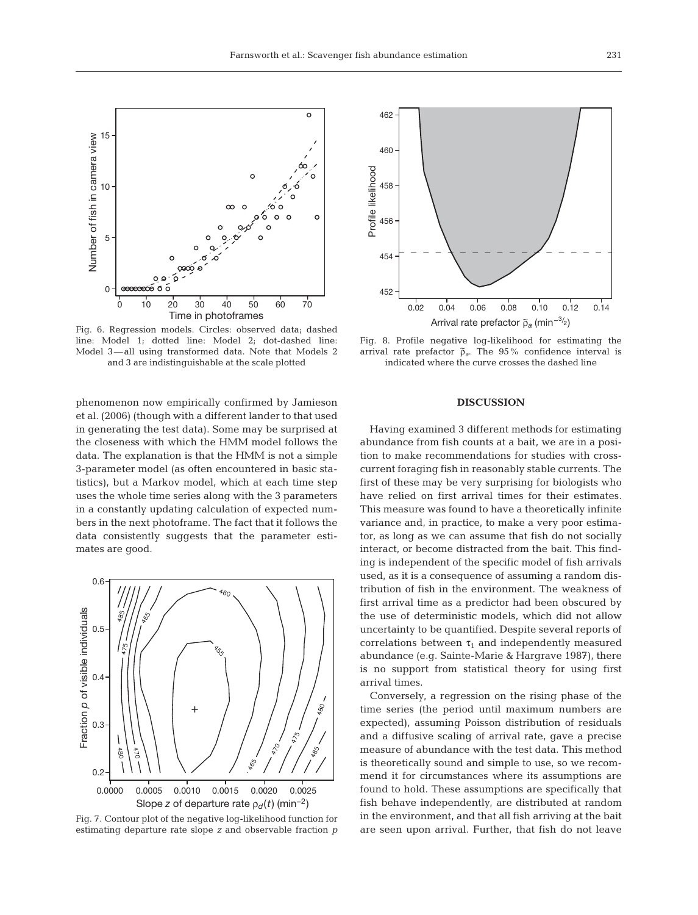

Fig. 6. Regression models. Circles: observed data; dashed line: Model 1; dotted line: Model 2; dot-dashed line: Model 3—all using transformed data. Note that Models 2 and 3 are indistinguishable at the scale plotted

phenomenon now empirically confirmed by Jamieson et al. (2006) (though with a different lander to that used in generating the test data). Some may be surprised at the closeness with which the HMM model follows the data. The explanation is that the HMM is not a simple 3-parameter model (as often encountered in basic statistics), but a Markov model, which at each time step uses the whole time series along with the 3 parameters in a constantly updating calculation of expected numbers in the next photoframe. The fact that it follows the data consistently suggests that the parameter estimates are good.



Fig. 7. Contour plot of the negative log-likelihood function for estimating departure rate slope *z* and observable fraction *p*



Fig. 8. Profile negative log-likelihood for estimating the arrival rate prefactor  $\tilde{\rho}_a$ . The 95% confidence interval is indicated where the curve crosses the dashed line

#### **DISCUSSION**

Having examined 3 different methods for estimating abundance from fish counts at a bait, we are in a position to make recommendations for studies with crosscurrent foraging fish in reasonably stable currents. The first of these may be very surprising for biologists who have relied on first arrival times for their estimates. This measure was found to have a theoretically infinite variance and, in practice, to make a very poor estimator, as long as we can assume that fish do not socially interact, or become distracted from the bait. This finding is independent of the specific model of fish arrivals used, as it is a consequence of assuming a random distribution of fish in the environment. The weakness of first arrival time as a predictor had been obscured by the use of deterministic models, which did not allow uncertainty to be quantified. Despite several reports of correlations between  $\tau_1$  and independently measured abundance (e.g. Sainte-Marie & Hargrave 1987), there is no support from statistical theory for using first arrival times.

Conversely, a regression on the rising phase of the time series (the period until maximum numbers are expected), assuming Poisson distribution of residuals and a diffusive scaling of arrival rate, gave a precise measure of abundance with the test data. This method is theoretically sound and simple to use, so we recommend it for circumstances where its assumptions are found to hold. These assumptions are specifically that fish behave independently, are distributed at random in the environment, and that all fish arriving at the bait are seen upon arrival. Further, that fish do not leave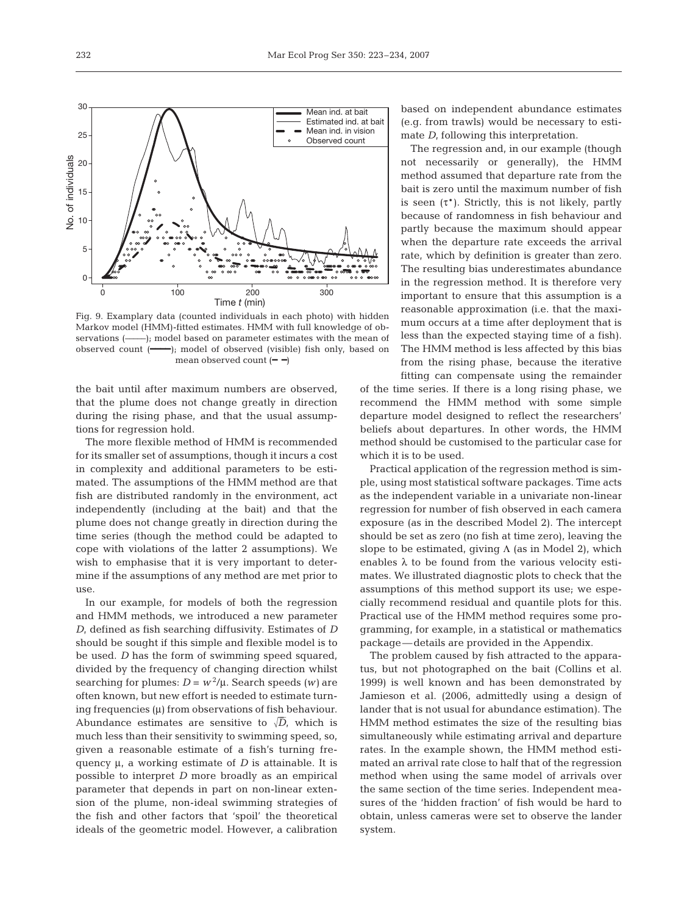

Fig. 9. Examplary data (counted individuals in each photo) with hidden Markov model (HMM)-fitted estimates. HMM with full knowledge of observations (–––––); model based on parameter estimates with the mean of observed count (**––––**); model of observed (visible) fish only, based on mean observed count (**– –**)

the bait until after maximum numbers are observed, that the plume does not change greatly in direction during the rising phase, and that the usual assumptions for regression hold.

The more flexible method of HMM is recommended for its smaller set of assumptions, though it incurs a cost in complexity and additional parameters to be estimated. The assumptions of the HMM method are that fish are distributed randomly in the environment, act independently (including at the bait) and that the plume does not change greatly in direction during the time series (though the method could be adapted to cope with violations of the latter 2 assumptions). We wish to emphasise that it is very important to determine if the assumptions of any method are met prior to use.

In our example, for models of both the regression and HMM methods, we introduced a new parameter *D*, defined as fish searching diffusivity. Estimates of *D* should be sought if this simple and flexible model is to be used. *D* has the form of swimming speed squared, divided by the frequency of changing direction whilst searching for plumes:  $D = w^2/\mu$ . Search speeds (*w*) are often known, but new effort is needed to estimate turning frequencies (μ) from observations of fish behaviour. Abundance estimates are sensitive to  $\sqrt{D}$ , which is much less than their sensitivity to swimming speed, so, given a reasonable estimate of a fish's turning frequency μ, a working estimate of *D* is attainable. It is possible to interpret *D* more broadly as an empirical parameter that depends in part on non-linear extension of the plume, non-ideal swimming strategies of the fish and other factors that 'spoil' the theoretical ideals of the geometric model. However, a calibration

based on independent abundance estimates (e.g. from trawls) would be necessary to estimate *D*, following this interpretation.

The regression and, in our example (though not necessarily or generally), the HMM method assumed that departure rate from the bait is zero until the maximum number of fish is seen  $(\tau^*)$ . Strictly, this is not likely, partly because of randomness in fish behaviour and partly because the maximum should appear when the departure rate exceeds the arrival rate, which by definition is greater than zero. The resulting bias underestimates abundance in the regression method. It is therefore very important to ensure that this assumption is a reasonable approximation (i.e. that the maximum occurs at a time after deployment that is less than the expected staying time of a fish). The HMM method is less affected by this bias from the rising phase, because the iterative fitting can compensate using the remainder

of the time series. If there is a long rising phase, we recommend the HMM method with some simple departure model designed to reflect the researchers' beliefs about departures. In other words, the HMM method should be customised to the particular case for which it is to be used.

Practical application of the regression method is simple, using most statistical software packages. Time acts as the independent variable in a univariate non-linear regression for number of fish observed in each camera exposure (as in the described Model 2). The intercept should be set as zero (no fish at time zero), leaving the slope to be estimated, giving  $\Lambda$  (as in Model 2), which enables  $\lambda$  to be found from the various velocity estimates. We illustrated diagnostic plots to check that the assumptions of this method support its use; we especially recommend residual and quantile plots for this. Practical use of the HMM method requires some programming, for example, in a statistical or mathematics package—details are provided in the Appendix.

The problem caused by fish attracted to the apparatus, but not photographed on the bait (Collins et al. 1999) is well known and has been demonstrated by Jamieson et al. (2006, admittedly using a design of lander that is not usual for abundance estimation). The HMM method estimates the size of the resulting bias simultaneously while estimating arrival and departure rates. In the example shown, the HMM method estimated an arrival rate close to half that of the regression method when using the same model of arrivals over the same section of the time series. Independent measures of the 'hidden fraction' of fish would be hard to obtain, unless cameras were set to observe the lander system.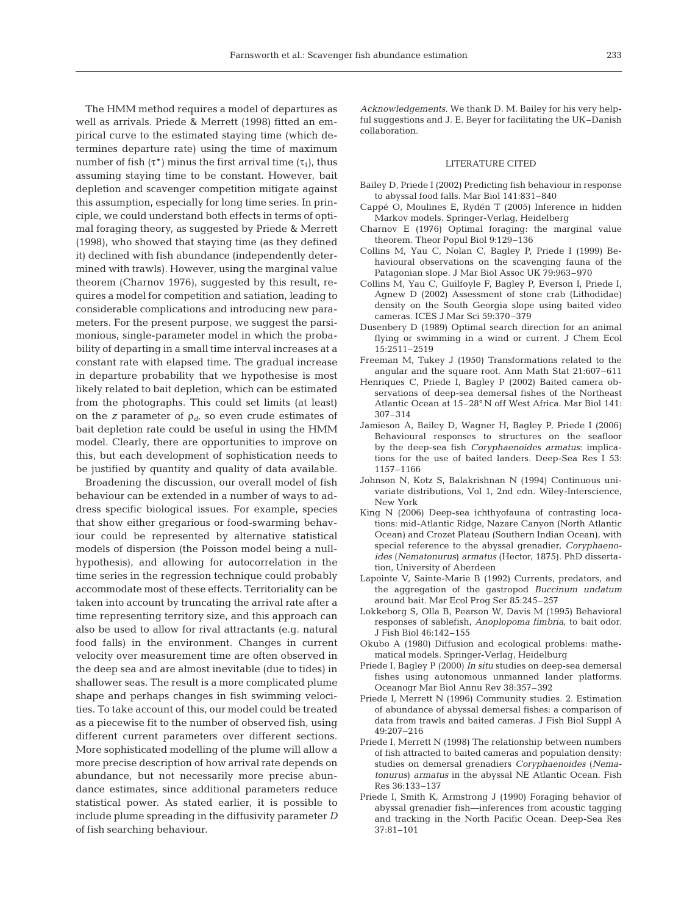The HMM method requires a model of departures as well as arrivals. Priede & Merrett (1998) fitted an empirical curve to the estimated staying time (which determines departure rate) using the time of maximum number of fish  $(\tau^*)$  minus the first arrival time  $(\tau_1)$ , thus assuming staying time to be constant. However, bait depletion and scavenger competition mitigate against this assumption, especially for long time series. In principle, we could understand both effects in terms of optimal foraging theory, as suggested by Priede & Merrett (1998), who showed that staying time (as they defined it) declined with fish abundance (independently determined with trawls). However, using the marginal value theorem (Charnov 1976), suggested by this result, requires a model for competition and satiation, leading to considerable complications and introducing new parameters. For the present purpose, we suggest the parsimonious, single-parameter model in which the probability of departing in a small time interval increases at a constant rate with elapsed time. The gradual increase in departure probability that we hypothesise is most likely related to bait depletion, which can be estimated from the photographs. This could set limits (at least) on the *z* parameter of  $\rho_d$ , so even crude estimates of bait depletion rate could be useful in using the HMM model. Clearly, there are opportunities to improve on this, but each development of sophistication needs to be justified by quantity and quality of data available.

Broadening the discussion, our overall model of fish behaviour can be extended in a number of ways to address specific biological issues. For example, species that show either gregarious or food-swarming behaviour could be represented by alternative statistical models of dispersion (the Poisson model being a nullhypothesis), and allowing for autocorrelation in the time series in the regression technique could probably accommodate most of these effects. Territoriality can be taken into account by truncating the arrival rate after a time representing territory size, and this approach can also be used to allow for rival attractants (e.g. natural food falls) in the environment. Changes in current velocity over measurement time are often observed in the deep sea and are almost inevitable (due to tides) in shallower seas. The result is a more complicated plume shape and perhaps changes in fish swimming velocities. To take account of this, our model could be treated as a piecewise fit to the number of observed fish, using different current parameters over different sections. More sophisticated modelling of the plume will allow a more precise description of how arrival rate depends on abundance, but not necessarily more precise abundance estimates, since additional parameters reduce statistical power. As stated earlier, it is possible to include plume spreading in the diffusivity parameter *D* of fish searching behaviour.

*Acknowledgements.* We thank D. M. Bailey for his very helpful suggestions and J. E. Beyer for facilitating the UK–Danish collaboration.

#### LITERATURE CITED

- Bailey D, Priede I (2002) Predicting fish behaviour in response to abyssal food falls. Mar Biol 141:831–840
- Cappé O, Moulines E, Rydén T (2005) Inference in hidden Markov models. Springer-Verlag, Heidelberg
- Charnov E (1976) Optimal foraging: the marginal value theorem. Theor Popul Biol 9:129–136
- Collins M, Yau C, Nolan C, Bagley P, Priede I (1999) Behavioural observations on the scavenging fauna of the Patagonian slope. J Mar Biol Assoc UK 79:963–970
- Collins M, Yau C, Guilfoyle F, Bagley P, Everson I, Priede I, Agnew D (2002) Assessment of stone crab (Lithodidae) density on the South Georgia slope using baited video cameras. ICES J Mar Sci 59:370–379
- Dusenbery D (1989) Optimal search direction for an animal flying or swimming in a wind or current. J Chem Ecol 15:2511–2519
- Freeman M, Tukey J (1950) Transformations related to the angular and the square root. Ann Math Stat 21:607–611
- Henriques C, Priede I, Bagley P (2002) Baited camera observations of deep-sea demersal fishes of the Northeast Atlantic Ocean at 15–28° N off West Africa. Mar Biol 141: 307–314
- Jamieson A, Bailey D, Wagner H, Bagley P, Priede I (2006) Behavioural responses to structures on the seafloor by the deep-sea fish *Coryphaenoides armatus*: implications for the use of baited landers. Deep-Sea Res I 53: 1157–1166
- Johnson N, Kotz S, Balakrishnan N (1994) Continuous univariate distributions, Vol 1, 2nd edn. Wiley-Interscience, New York
- King N (2006) Deep-sea ichthyofauna of contrasting locations: mid-Atlantic Ridge, Nazare Canyon (North Atlantic Ocean) and Crozet Plateau (Southern Indian Ocean), with special reference to the abyssal grenadier, *Coryphaenoides* (*Nematonurus*) *armatus* (Hector, 1875). PhD dissertation, University of Aberdeen
- Lapointe V, Sainte-Marie B (1992) Currents, predators, and the aggregation of the gastropod *Buccinum undatum* around bait. Mar Ecol Prog Ser 85:245–257
- Lokkeborg S, Olla B, Pearson W, Davis M (1995) Behavioral responses of sablefish, *Anoplopoma fimbria*, to bait odor. J Fish Biol 46:142–155
- Okubo A (1980) Diffusion and ecological problems: mathematical models. Springer-Verlag, Heidelburg
- Priede I, Bagley P (2000) *In situ* studies on deep-sea demersal fishes using autonomous unmanned lander platforms. Oceanogr Mar Biol Annu Rev 38:357–392
- Priede I, Merrett N (1996) Community studies. 2. Estimation of abundance of abyssal demersal fishes: a comparison of data from trawls and baited cameras. J Fish Biol Suppl A 49:207–216
- Priede I, Merrett N (1998) The relationship between numbers of fish attracted to baited cameras and population density: studies on demersal grenadiers *Coryphaenoides* (*Nematonurus*) *armatus* in the abyssal NE Atlantic Ocean. Fish Res 36:133–137
- Priede I, Smith K, Armstrong J (1990) Foraging behavior of abyssal grenadier fish—inferences from acoustic tagging and tracking in the North Pacific Ocean. Deep-Sea Res 37:81–101